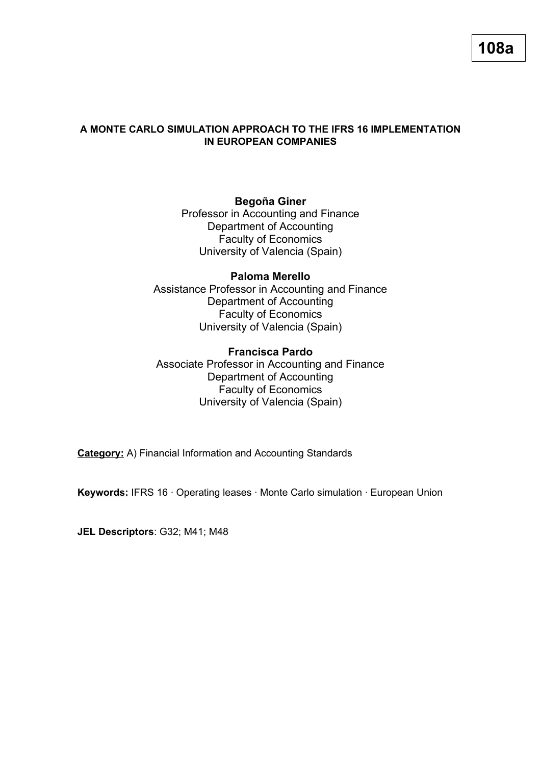## **A MONTE CARLO SIMULATION APPROACH TO THE IFRS 16 IMPLEMENTATION IN EUROPEAN COMPANIES**

# **Begoña Giner**

Professor in Accounting and Finance Department of Accounting Faculty of Economics University of Valencia (Spain)

**Paloma Merello**  Assistance Professor in Accounting and Finance Department of Accounting Faculty of Economics University of Valencia (Spain)

# **Francisca Pardo**

Associate Professor in Accounting and Finance Department of Accounting Faculty of Economics University of Valencia (Spain)

**Category:** A) Financial Information and Accounting Standards

**Keywords:** IFRS 16 · Operating leases · Monte Carlo simulation · European Union

**JEL Descriptors**: G32; M41; M48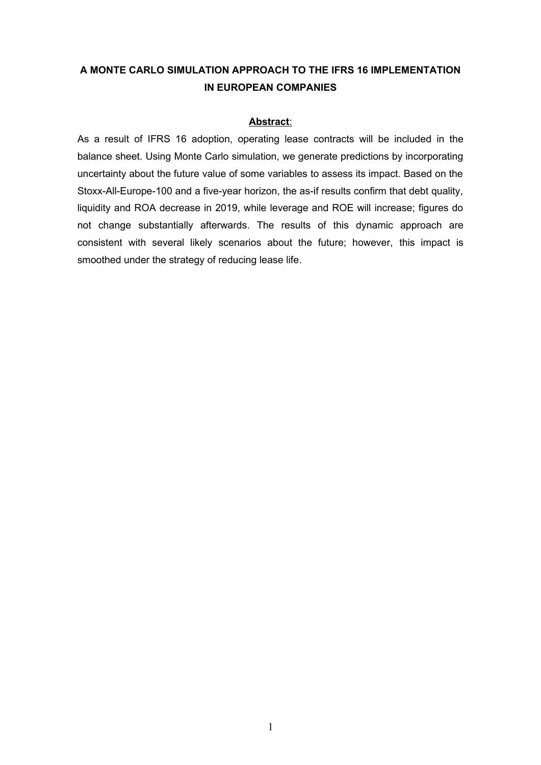# **A MONTE CARLO SIMULATION APPROACH TO THE IFRS 16 IMPLEMENTATION IN EUROPEAN COMPANIES**

### **Abstract**:

As a result of IFRS 16 adoption, operating lease contracts will be included in the balance sheet. Using Monte Carlo simulation, we generate predictions by incorporating uncertainty about the future value of some variables to assess its impact. Based on the Stoxx-All-Europe-100 and a five-year horizon, the as-if results confirm that debt quality, liquidity and ROA decrease in 2019, while leverage and ROE will increase; figures do not change substantially afterwards. The results of this dynamic approach are consistent with several likely scenarios about the future; however, this impact is smoothed under the strategy of reducing lease life.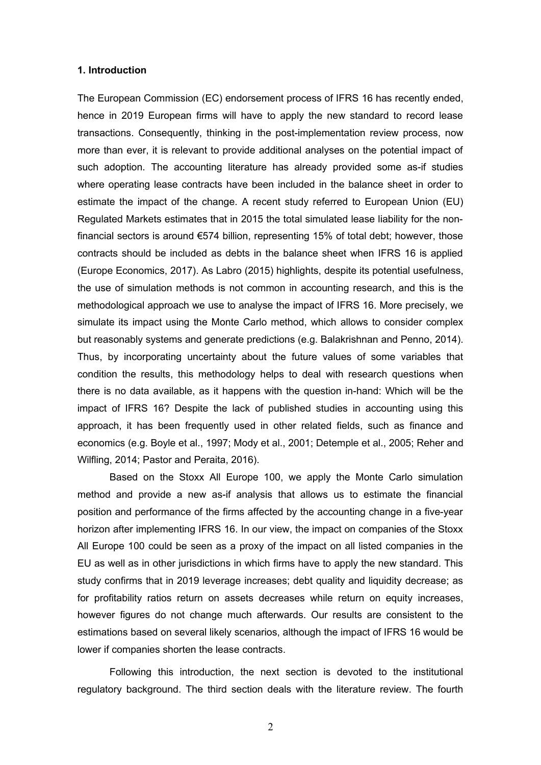#### **1. Introduction**

The European Commission (EC) endorsement process of IFRS 16 has recently ended, hence in 2019 European firms will have to apply the new standard to record lease transactions. Consequently, thinking in the post-implementation review process, now more than ever, it is relevant to provide additional analyses on the potential impact of such adoption. The accounting literature has already provided some as-if studies where operating lease contracts have been included in the balance sheet in order to estimate the impact of the change. A recent study referred to European Union (EU) Regulated Markets estimates that in 2015 the total simulated lease liability for the nonfinancial sectors is around €574 billion, representing 15% of total debt; however, those contracts should be included as debts in the balance sheet when IFRS 16 is applied (Europe Economics, 2017). As Labro (2015) highlights, despite its potential usefulness, the use of simulation methods is not common in accounting research, and this is the methodological approach we use to analyse the impact of IFRS 16. More precisely, we simulate its impact using the Monte Carlo method, which allows to consider complex but reasonably systems and generate predictions (e.g. Balakrishnan and Penno, 2014). Thus, by incorporating uncertainty about the future values of some variables that condition the results, this methodology helps to deal with research questions when there is no data available, as it happens with the question in-hand: Which will be the impact of IFRS 16? Despite the lack of published studies in accounting using this approach, it has been frequently used in other related fields, such as finance and economics (e.g. Boyle et al., 1997; Mody et al., 2001; Detemple et al., 2005; Reher and Wilfling, 2014; Pastor and Peraita, 2016).

Based on the Stoxx All Europe 100, we apply the Monte Carlo simulation method and provide a new as-if analysis that allows us to estimate the financial position and performance of the firms affected by the accounting change in a five-year horizon after implementing IFRS 16. In our view, the impact on companies of the Stoxx All Europe 100 could be seen as a proxy of the impact on all listed companies in the EU as well as in other jurisdictions in which firms have to apply the new standard. This study confirms that in 2019 leverage increases; debt quality and liquidity decrease; as for profitability ratios return on assets decreases while return on equity increases, however figures do not change much afterwards. Our results are consistent to the estimations based on several likely scenarios, although the impact of IFRS 16 would be lower if companies shorten the lease contracts.

Following this introduction, the next section is devoted to the institutional regulatory background. The third section deals with the literature review. The fourth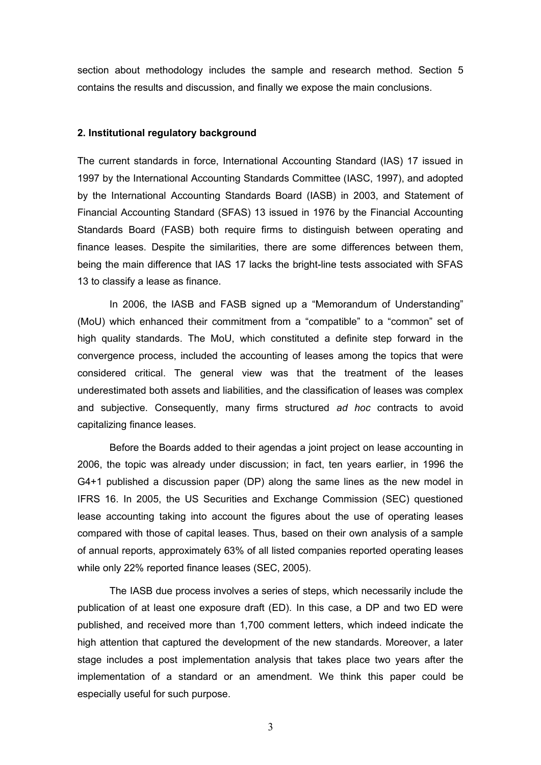section about methodology includes the sample and research method. Section 5 contains the results and discussion, and finally we expose the main conclusions.

#### **2. Institutional regulatory background**

The current standards in force, International Accounting Standard (IAS) 17 issued in 1997 by the International Accounting Standards Committee (IASC, 1997), and adopted by the International Accounting Standards Board (IASB) in 2003, and Statement of Financial Accounting Standard (SFAS) 13 issued in 1976 by the Financial Accounting Standards Board (FASB) both require firms to distinguish between operating and finance leases. Despite the similarities, there are some differences between them, being the main difference that IAS 17 lacks the bright-line tests associated with SFAS 13 to classify a lease as finance.

In 2006, the IASB and FASB signed up a "Memorandum of Understanding" (MoU) which enhanced their commitment from a "compatible" to a "common" set of high quality standards. The MoU, which constituted a definite step forward in the convergence process, included the accounting of leases among the topics that were considered critical. The general view was that the treatment of the leases underestimated both assets and liabilities, and the classification of leases was complex and subjective. Consequently, many firms structured *ad hoc* contracts to avoid capitalizing finance leases.

Before the Boards added to their agendas a joint project on lease accounting in 2006, the topic was already under discussion; in fact, ten years earlier, in 1996 the G4+1 published a discussion paper (DP) along the same lines as the new model in IFRS 16. In 2005, the US Securities and Exchange Commission (SEC) questioned lease accounting taking into account the figures about the use of operating leases compared with those of capital leases. Thus, based on their own analysis of a sample of annual reports, approximately 63% of all listed companies reported operating leases while only 22% reported finance leases (SEC, 2005).

The IASB due process involves a series of steps, which necessarily include the publication of at least one exposure draft (ED). In this case, a DP and two ED were published, and received more than 1,700 comment letters, which indeed indicate the high attention that captured the development of the new standards. Moreover, a later stage includes a post implementation analysis that takes place two years after the implementation of a standard or an amendment. We think this paper could be especially useful for such purpose.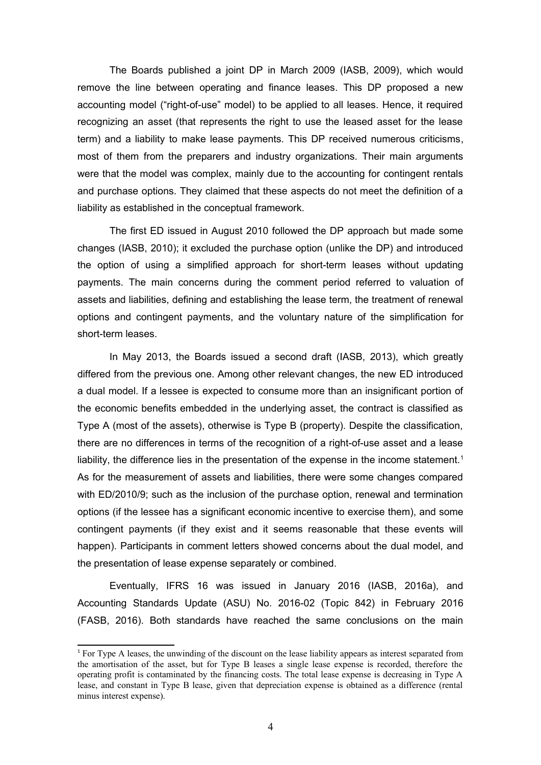The Boards published a joint DP in March 2009 (IASB, 2009), which would remove the line between operating and finance leases. This DP proposed a new accounting model ("right-of-use" model) to be applied to all leases. Hence, it required recognizing an asset (that represents the right to use the leased asset for the lease term) and a liability to make lease payments. This DP received numerous criticisms, most of them from the preparers and industry organizations. Their main arguments were that the model was complex, mainly due to the accounting for contingent rentals and purchase options. They claimed that these aspects do not meet the definition of a liability as established in the conceptual framework.

The first ED issued in August 2010 followed the DP approach but made some changes (IASB, 2010); it excluded the purchase option (unlike the DP) and introduced the option of using a simplified approach for short-term leases without updating payments. The main concerns during the comment period referred to valuation of assets and liabilities, defining and establishing the lease term, the treatment of renewal options and contingent payments, and the voluntary nature of the simplification for short-term leases.

In May 2013, the Boards issued a second draft (IASB, 2013), which greatly differed from the previous one. Among other relevant changes, the new ED introduced a dual model. If a lessee is expected to consume more than an insignificant portion of the economic benefits embedded in the underlying asset, the contract is classified as Type A (most of the assets), otherwise is Type B (property). Despite the classification, there are no differences in terms of the recognition of a right-of-use asset and a lease liability, the difference lies in the presentation of the expense in the income statement.<sup>[1](#page-4-0)</sup> As for the measurement of assets and liabilities, there were some changes compared with ED/2010/9; such as the inclusion of the purchase option, renewal and termination options (if the lessee has a significant economic incentive to exercise them), and some contingent payments (if they exist and it seems reasonable that these events will happen). Participants in comment letters showed concerns about the dual model, and the presentation of lease expense separately or combined.

Eventually, IFRS 16 was issued in January 2016 (IASB, 2016a), and Accounting Standards Update (ASU) No. 2016-02 (Topic 842) in February 2016 (FASB, 2016). Both standards have reached the same conclusions on the main

<span id="page-4-0"></span><sup>1</sup> For Type A leases, the unwinding of the discount on the lease liability appears as interest separated from the amortisation of the asset, but for Type B leases a single lease expense is recorded, therefore the operating profit is contaminated by the financing costs. The total lease expense is decreasing in Type A lease, and constant in Type B lease, given that depreciation expense is obtained as a difference (rental minus interest expense).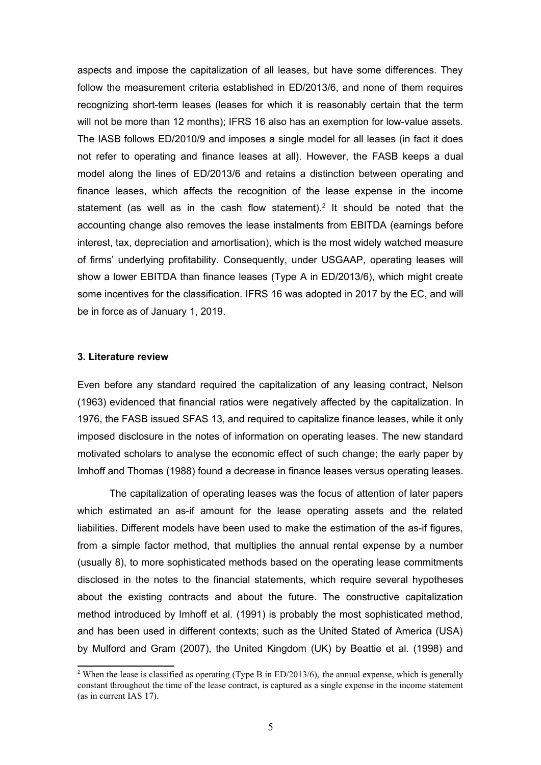aspects and impose the capitalization of all leases, but have some differences. They follow the measurement criteria established in ED/2013/6, and none of them requires recognizing short-term leases (leases for which it is reasonably certain that the term will not be more than 12 months); IFRS 16 also has an exemption for low-value assets. The IASB follows ED/2010/9 and imposes a single model for all leases (in fact it does not refer to operating and finance leases at all). However, the FASB keeps a dual model along the lines of ED/2013/6 and retains a distinction between operating and finance leases, which affects the recognition of the lease expense in the income statement (as well as in the cash flow statement).<sup>[2](#page-5-0)</sup> It should be noted that the accounting change also removes the lease instalments from EBITDA (earnings before interest, tax, depreciation and amortisation), which is the most widely watched measure of firms' underlying profitability. Consequently, under USGAAP, operating leases will show a lower EBITDA than finance leases (Type A in ED/2013/6), which might create some incentives for the classification. IFRS 16 was adopted in 2017 by the EC, and will be in force as of January 1, 2019.

#### **3. Literature review**

Even before any standard required the capitalization of any leasing contract, Nelson (1963) evidenced that financial ratios were negatively affected by the capitalization. In 1976, the FASB issued SFAS 13, and required to capitalize finance leases, while it only imposed disclosure in the notes of information on operating leases. The new standard motivated scholars to analyse the economic effect of such change; the early paper by Imhoff and Thomas (1988) found a decrease in finance leases versus operating leases.

The capitalization of operating leases was the focus of attention of later papers which estimated an as-if amount for the lease operating assets and the related liabilities. Different models have been used to make the estimation of the as-if figures, from a simple factor method, that multiplies the annual rental expense by a number (usually 8), to more sophisticated methods based on the operating lease commitments disclosed in the notes to the financial statements, which require several hypotheses about the existing contracts and about the future. The constructive capitalization method introduced by Imhoff et al. (1991) is probably the most sophisticated method, and has been used in different contexts; such as the United Stated of America (USA) by Mulford and Gram (2007), the United Kingdom (UK) by Beattie et al. (1998) and

<span id="page-5-0"></span><sup>&</sup>lt;sup>2</sup> When the lease is classified as operating (Type B in ED/2013/6), the annual expense, which is generally constant throughout the time of the lease contract, is captured as a single expense in the income statement (as in current IAS 17).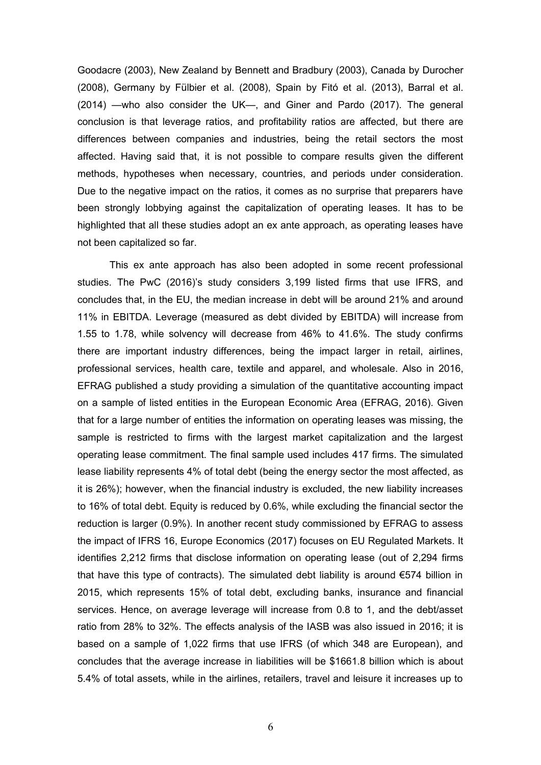Goodacre (2003), New Zealand by Bennett and Bradbury (2003), Canada by Durocher (2008), Germany by Fülbier et al. (2008), Spain by Fitó et al. (2013), Barral et al. (2014) —who also consider the UK—, and Giner and Pardo (2017). The general conclusion is that leverage ratios, and profitability ratios are affected, but there are differences between companies and industries, being the retail sectors the most affected. Having said that, it is not possible to compare results given the different methods, hypotheses when necessary, countries, and periods under consideration. Due to the negative impact on the ratios, it comes as no surprise that preparers have been strongly lobbying against the capitalization of operating leases. It has to be highlighted that all these studies adopt an ex ante approach, as operating leases have not been capitalized so far.

This ex ante approach has also been adopted in some recent professional studies. The PwC (2016)'s study considers 3,199 listed firms that use IFRS, and concludes that, in the EU, the median increase in debt will be around 21% and around 11% in EBITDA. Leverage (measured as debt divided by EBITDA) will increase from 1.55 to 1.78, while solvency will decrease from 46% to 41.6%. The study confirms there are important industry differences, being the impact larger in retail, airlines, professional services, health care, textile and apparel, and wholesale. Also in 2016, EFRAG published a study providing a simulation of the quantitative accounting impact on a sample of listed entities in the European Economic Area (EFRAG, 2016). Given that for a large number of entities the information on operating leases was missing, the sample is restricted to firms with the largest market capitalization and the largest operating lease commitment. The final sample used includes 417 firms. The simulated lease liability represents 4% of total debt (being the energy sector the most affected, as it is 26%); however, when the financial industry is excluded, the new liability increases to 16% of total debt. Equity is reduced by 0.6%, while excluding the financial sector the reduction is larger (0.9%). In another recent study commissioned by EFRAG to assess the impact of IFRS 16, Europe Economics (2017) focuses on EU Regulated Markets. It identifies 2,212 firms that disclose information on operating lease (out of 2,294 firms that have this type of contracts). The simulated debt liability is around  $\epsilon$ 574 billion in 2015, which represents 15% of total debt, excluding banks, insurance and financial services. Hence, on average leverage will increase from 0.8 to 1, and the debt/asset ratio from 28% to 32%. The effects analysis of the IASB was also issued in 2016; it is based on a sample of 1,022 firms that use IFRS (of which 348 are European), and concludes that the average increase in liabilities will be \$1661.8 billion which is about 5.4% of total assets, while in the airlines, retailers, travel and leisure it increases up to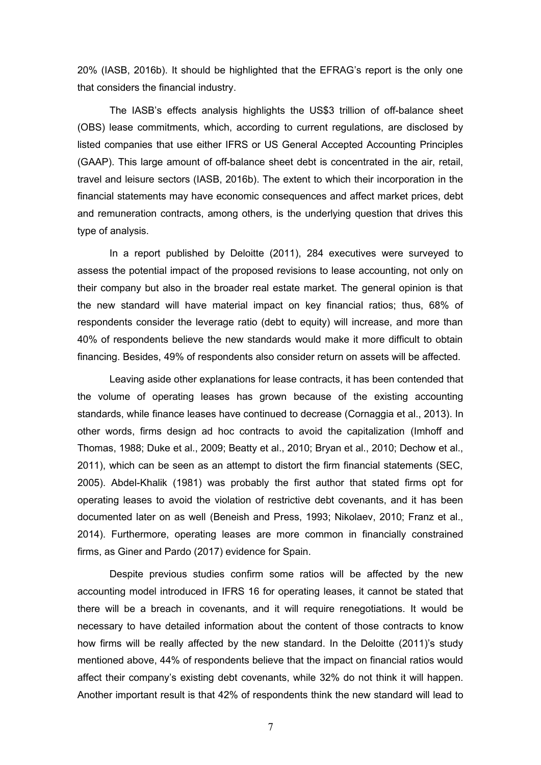20% (IASB, 2016b). It should be highlighted that the EFRAG's report is the only one that considers the financial industry.

The IASB's effects analysis highlights the US\$3 trillion of off-balance sheet (OBS) lease commitments, which, according to current regulations, are disclosed by listed companies that use either IFRS or US General Accepted Accounting Principles (GAAP). This large amount of off-balance sheet debt is concentrated in the air, retail, travel and leisure sectors (IASB, 2016b). The extent to which their incorporation in the financial statements may have economic consequences and affect market prices, debt and remuneration contracts, among others, is the underlying question that drives this type of analysis.

In a report published by Deloitte (2011), 284 executives were surveyed to assess the potential impact of the proposed revisions to lease accounting, not only on their company but also in the broader real estate market. The general opinion is that the new standard will have material impact on key financial ratios; thus, 68% of respondents consider the leverage ratio (debt to equity) will increase, and more than 40% of respondents believe the new standards would make it more difficult to obtain financing. Besides, 49% of respondents also consider return on assets will be affected.

Leaving aside other explanations for lease contracts, it has been contended that the volume of operating leases has grown because of the existing accounting standards, while finance leases have continued to decrease (Cornaggia et al., 2013). In other words, firms design ad hoc contracts to avoid the capitalization (Imhoff and Thomas, 1988; Duke et al., 2009; Beatty et al., 2010; Bryan et al., 2010; Dechow et al., 2011), which can be seen as an attempt to distort the firm financial statements (SEC, 2005). Abdel-Khalik (1981) was probably the first author that stated firms opt for operating leases to avoid the violation of restrictive debt covenants, and it has been documented later on as well (Beneish and Press, 1993; Nikolaev, 2010; Franz et al., 2014). Furthermore, operating leases are more common in financially constrained firms, as Giner and Pardo (2017) evidence for Spain.

Despite previous studies confirm some ratios will be affected by the new accounting model introduced in IFRS 16 for operating leases, it cannot be stated that there will be a breach in covenants, and it will require renegotiations. It would be necessary to have detailed information about the content of those contracts to know how firms will be really affected by the new standard. In the Deloitte (2011)'s study mentioned above, 44% of respondents believe that the impact on financial ratios would affect their company's existing debt covenants, while 32% do not think it will happen. Another important result is that 42% of respondents think the new standard will lead to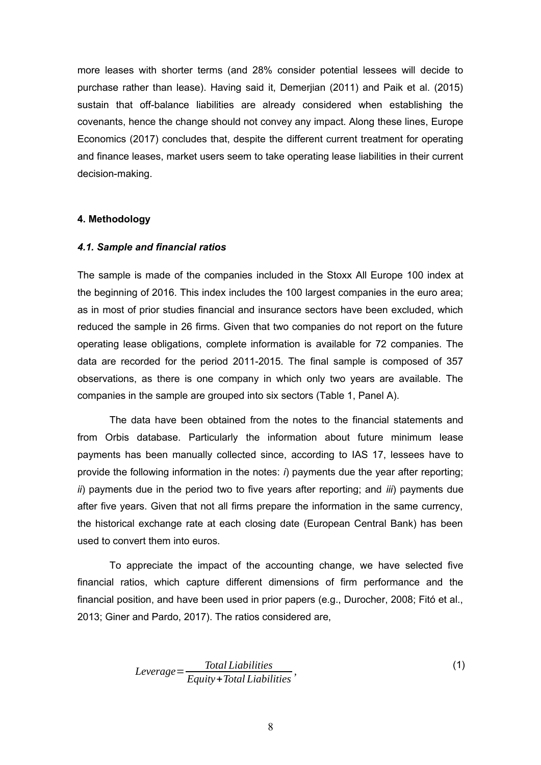more leases with shorter terms (and 28% consider potential lessees will decide to purchase rather than lease). Having said it, Demerjian (2011) and Paik et al. (2015) sustain that off-balance liabilities are already considered when establishing the covenants, hence the change should not convey any impact. Along these lines, Europe Economics (2017) concludes that, despite the different current treatment for operating and finance leases, market users seem to take operating lease liabilities in their current decision-making.

#### **4. Methodology**

#### *4.1. Sample and financial ratios*

The sample is made of the companies included in the Stoxx All Europe 100 index at the beginning of 2016. This index includes the 100 largest companies in the euro area; as in most of prior studies financial and insurance sectors have been excluded, which reduced the sample in 26 firms. Given that two companies do not report on the future operating lease obligations, complete information is available for 72 companies. The data are recorded for the period 2011-2015. The final sample is composed of 357 observations, as there is one company in which only two years are available. The companies in the sample are grouped into six sectors (Table 1, Panel A).

The data have been obtained from the notes to the financial statements and from Orbis database. Particularly the information about future minimum lease payments has been manually collected since, according to IAS 17, lessees have to provide the following information in the notes: *i*) payments due the year after reporting; *ii*) payments due in the period two to five years after reporting; and *iii*) payments due after five years. Given that not all firms prepare the information in the same currency, the historical exchange rate at each closing date (European Central Bank) has been used to convert them into euros.

To appreciate the impact of the accounting change, we have selected five financial ratios, which capture different dimensions of firm performance and the financial position, and have been used in prior papers (e.g., Durocher, 2008; Fitó et al., 2013; Giner and Pardo, 2017). The ratios considered are,

$$
Leverage = \frac{Total Liabilities}{Equity + Total Liabilities},
$$
\n(1)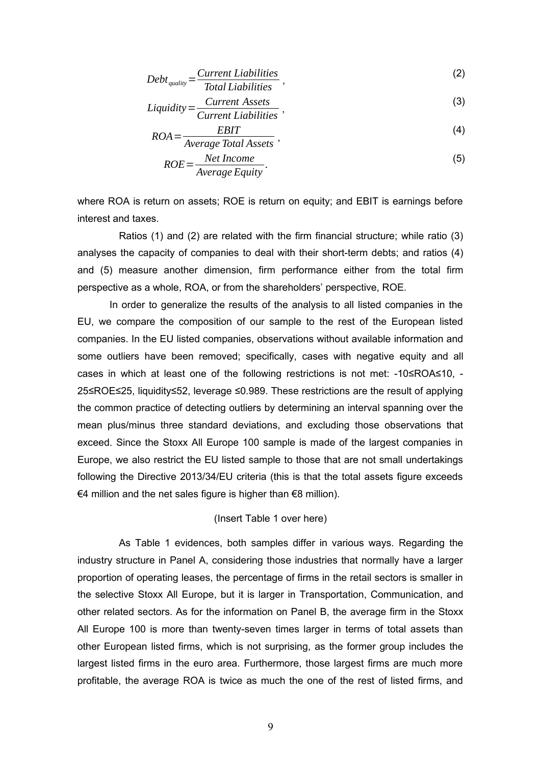$$
Debt_{quality} = \frac{Current\ Liabilities}{Total\ Liabilities} \,, \tag{2}
$$

$$
Liquidity = \frac{Current\;Assets}{Current\; Liabilities} \,,\tag{3}
$$

$$
ROA = \frac{EBIT}{(4)}
$$

$$
OA = \frac{2544}{Average Total Assets},
$$
  
\n
$$
ROE = \frac{Net Income}{Average Equity}.
$$
 (5)

where ROA is return on assets; ROE is return on equity; and EBIT is earnings before interest and taxes.

Ratios (1) and (2) are related with the firm financial structure; while ratio (3) analyses the capacity of companies to deal with their short-term debts; and ratios (4) and (5) measure another dimension, firm performance either from the total firm perspective as a whole, ROA, or from the shareholders' perspective, ROE.

In order to generalize the results of the analysis to all listed companies in the EU, we compare the composition of our sample to the rest of the European listed companies. In the EU listed companies, observations without available information and some outliers have been removed; specifically, cases with negative equity and all cases in which at least one of the following restrictions is not met: -10≤ROA≤10, - 25≤ROE≤25, liquidity≤52, leverage ≤0.989. These restrictions are the result of applying the common practice of detecting outliers by determining an interval spanning over the mean plus/minus three standard deviations, and excluding those observations that exceed. Since the Stoxx All Europe 100 sample is made of the largest companies in Europe, we also restrict the EU listed sample to those that are not small undertakings following the Directive 2013/34/EU criteria (this is that the total assets figure exceeds €4 million and the net sales figure is higher than €8 million).

### (Insert Table 1 over here)

As Table 1 evidences, both samples differ in various ways. Regarding the industry structure in Panel A, considering those industries that normally have a larger proportion of operating leases, the percentage of firms in the retail sectors is smaller in the selective Stoxx All Europe, but it is larger in Transportation, Communication, and other related sectors. As for the information on Panel B, the average firm in the Stoxx All Europe 100 is more than twenty-seven times larger in terms of total assets than other European listed firms, which is not surprising, as the former group includes the largest listed firms in the euro area. Furthermore, those largest firms are much more profitable, the average ROA is twice as much the one of the rest of listed firms, and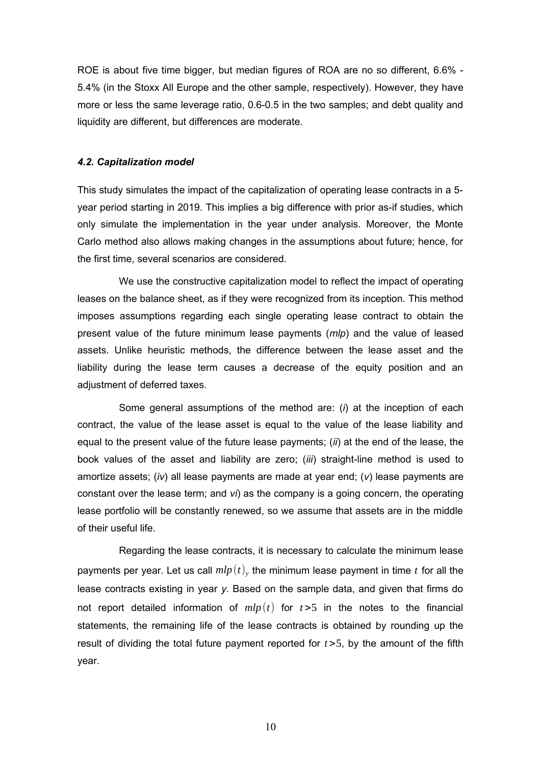ROE is about five time bigger, but median figures of ROA are no so different, 6.6% - 5.4% (in the Stoxx All Europe and the other sample, respectively). However, they have more or less the same leverage ratio, 0.6-0.5 in the two samples; and debt quality and liquidity are different, but differences are moderate.

#### *4.2. Capitalization model*

This study simulates the impact of the capitalization of operating lease contracts in a 5 year period starting in 2019. This implies a big difference with prior as-if studies, which only simulate the implementation in the year under analysis. Moreover, the Monte Carlo method also allows making changes in the assumptions about future; hence, for the first time, several scenarios are considered.

We use the constructive capitalization model to reflect the impact of operating leases on the balance sheet, as if they were recognized from its inception. This method imposes assumptions regarding each single operating lease contract to obtain the present value of the future minimum lease payments (*mlp*) and the value of leased assets. Unlike heuristic methods, the difference between the lease asset and the liability during the lease term causes a decrease of the equity position and an adjustment of deferred taxes.

Some general assumptions of the method are: (*i*) at the inception of each contract, the value of the lease asset is equal to the value of the lease liability and equal to the present value of the future lease payments; (*ii*) at the end of the lease, the book values of the asset and liability are zero; (*iii*) straight-line method is used to amortize assets; (*iv*) all lease payments are made at year end; (*v*) lease payments are constant over the lease term; and *vi*) as the company is a going concern, the operating lease portfolio will be constantly renewed, so we assume that assets are in the middle of their useful life.

Regarding the lease contracts, it is necessary to calculate the minimum lease payments per year. Let us call  $mlp\left(t\right)_{y}$  the minimum lease payment in time  $t$  for all the lease contracts existing in year *y*. Based on the sample data, and given that firms do not report detailed information of  $mlp(t)$  for  $t>5$  in the notes to the financial statements, the remaining life of the lease contracts is obtained by rounding up the result of dividing the total future payment reported for *t* >5, by the amount of the fifth year.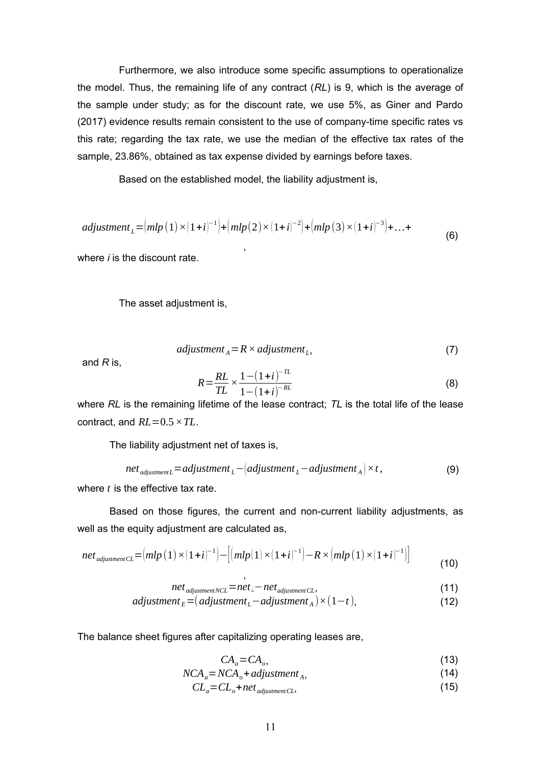Furthermore, we also introduce some specific assumptions to operationalize the model. Thus, the remaining life of any contract (*RL*) is 9, which is the average of the sample under study; as for the discount rate, we use 5%, as Giner and Pardo (2017) evidence results remain consistent to the use of company-time specific rates vs this rate; regarding the tax rate, we use the median of the effective tax rates of the sample, 23.86%, obtained as tax expense divided by earnings before taxes.

Based on the established model, the liability adjustment is,

$$
adjustment_{L} = (mlp(1) \times (1+i)^{-1}) + (mlp(2) \times (1+i)^{-2}) + (mlp(3) \times (1+i)^{-3}) + ... +
$$
\n(6)

where *i* is the discount rate.

The asset adjustment is,

$$
adjustment_{A} = R \times adjustment_{L},
$$
\n(7)

and *R* is,

$$
R = \frac{RL}{TL} \times \frac{1 - (1 + i)^{-TL}}{1 - (1 + i)^{-RL}}
$$
(8)

where *RL* is the remaining lifetime of the lease contract; *TL* is the total life of the lease contract, and *RL*=0.5*×TL*.

The liability adjustment net of taxes is,

$$
net_{\text{adjustment}} = \text{adjustment}_{L} - (\text{adjustment}_{L} - \text{adjustment}_{A}) \times t,
$$
\n(9)

where *t* is the effective tax rate.

Based on those figures, the current and non-current liability adjustments, as well as the equity adjustment are calculated as,

$$
net_{adjustmentCL} = (mlp(1) \times (1+i)^{-1}) - [(mlp(1) \times (1+i)^{-1}) - R \times (mlp(1) \times (1+i)^{-1})]
$$
\n(10)

$$
net_{\text{adjustment}NCL} = net_{\text{i}} - net_{\text{adjustment}CL},\tag{11}
$$

$$
adjustmentE = (adjustmentL - adjustmentA) \times (1-t),
$$
\n(12)

The balance sheet figures after capitalizing operating leases are,

$$
CA_a = CA_o,\tag{13}
$$

$$
NCA_a = NCA_o + adjustment_A,
$$
\n(14)

$$
CL_a = CL_o + net_{adjustment CL},
$$
\n(15)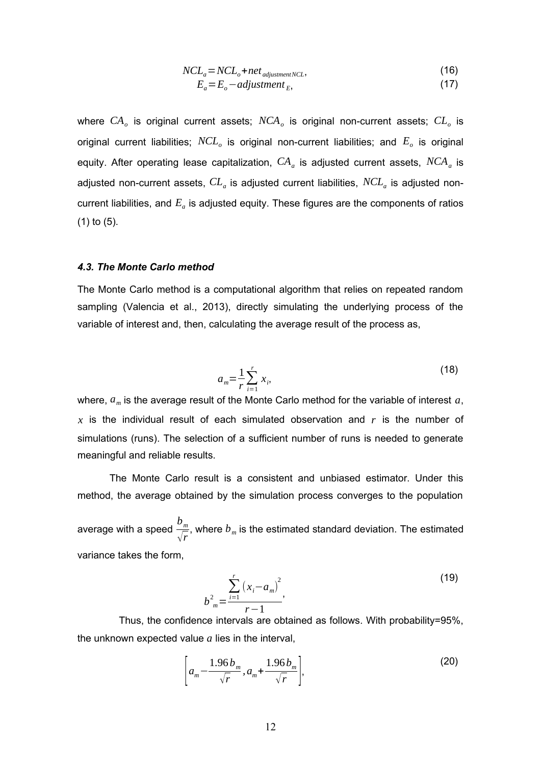$$
NCL_a = NCL_b + net_{adjustment NCL},
$$
\n
$$
F - F - adjustment
$$
\n(17)

$$
E_a - E_b - \alpha \alpha \beta \sin(\theta) E, \tag{17}
$$

where *CA<sup>o</sup>* is original current assets; *NCA<sup>o</sup>* is original non-current assets; *CL<sup>o</sup>* is original current liabilities;  $NCL_o$  is original non-current liabilities; and  $E_o$  is original equity. After operating lease capitalization,  $CA_{a}$  is adjusted current assets,  $NCA_{a}$  is adjusted non-current assets,  $\emph{CL}_{a}$  is adjusted current liabilities,  $\emph{NCL}_{a}$  is adjusted noncurrent liabilities, and  $E_{a}$  is adjusted equity. These figures are the components of ratios (1) to (5).

#### *4.3. The Monte Carlo method*

The Monte Carlo method is a computational algorithm that relies on repeated random sampling (Valencia et al., 2013), directly simulating the underlying process of the variable of interest and, then, calculating the average result of the process as,

$$
a_m = \frac{1}{r} \sum_{i=1}^r x_i,
$$
 (18)

where, *am* is the average result of the Monte Carlo method for the variable of interest *a*, *x* is the individual result of each simulated observation and *r* is the number of simulations (runs). The selection of a sufficient number of runs is needed to generate meaningful and reliable results.

The Monte Carlo result is a consistent and unbiased estimator. Under this method, the average obtained by the simulation process converges to the population

average with a speed *bm* √*r* , where  $b_m$  is the estimated standard deviation. The estimated variance takes the form,

$$
b_{m}^{2} = \frac{\sum_{i=1}^{r} (x_{i} - a_{m})^{2}}{r - 1},
$$
\n(19)

Thus, the confidence intervals are obtained as follows. With probability=95%, the unknown expected value *a* lies in the interval,

$$
\left[a_m - \frac{1.96 b_m}{\sqrt{r}}, a_m + \frac{1.96 b_m}{\sqrt{r}}\right],
$$
\n(20)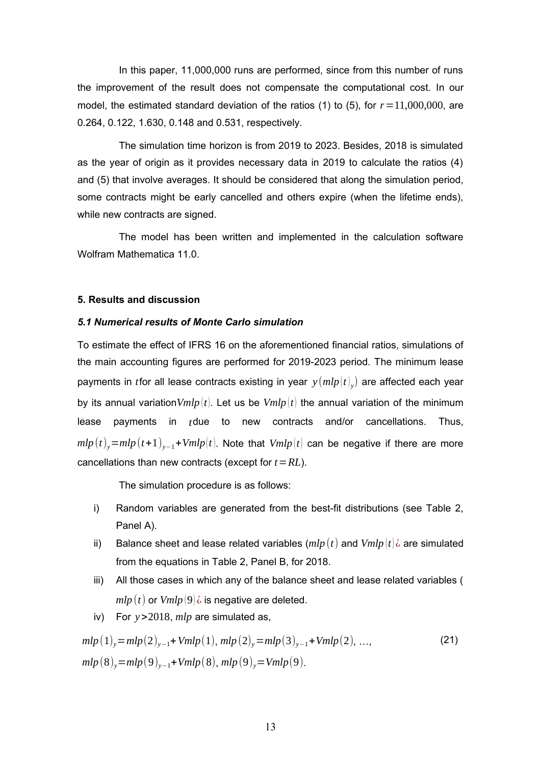In this paper, 11,000,000 runs are performed, since from this number of runs the improvement of the result does not compensate the computational cost. In our model, the estimated standard deviation of the ratios (1) to (5), for  $r = 11,000,000$ , are 0.264, 0.122, 1.630, 0.148 and 0.531, respectively.

The simulation time horizon is from 2019 to 2023. Besides, 2018 is simulated as the year of origin as it provides necessary data in 2019 to calculate the ratios (4) and (5) that involve averages. It should be considered that along the simulation period, some contracts might be early cancelled and others expire (when the lifetime ends), while new contracts are signed.

The model has been written and implemented in the calculation software Wolfram Mathematica 11.0.

#### **5. Results and discussion**

#### *5.1 Numerical results of Monte Carlo simulation*

To estimate the effect of IFRS 16 on the aforementioned financial ratios, simulations of the main accounting figures are performed for 2019-2023 period. The minimum lease payments in *t*for all lease contracts existing in year  $y\left(mlp\left(t\right)_{y}\right)$  are affected each year by its annual variation*Vmlp* (*t*)*.* Let us be *Vmlp* (*t*) the annual variation of the minimum lease payments in *t*due to new contracts and/or cancellations. Thus,  $mlp(t)$ <sub>*y*</sub>= $mlp(t+1)$ <sub>*y*−1</sub>+*Vmlp*(*t*). Note that *Vmlp*(*t*) can be negative if there are more cancellations than new contracts (except for *t*=*RL*).

The simulation procedure is as follows:

- i) Random variables are generated from the best-fit distributions (see Table 2, Panel A).
- ii) Balance sheet and lease related variables  $(mlp(t))$  and  $Vmlp(t)$  *i* are simulated from the equations in Table 2, Panel B, for 2018.
- iii) All those cases in which any of the balance sheet and lease related variables (  $mlp(t)$  or  $Vmlp(9)\dot{\theta}$  is negative are deleted.
- iv) For *y*>2018, *mlp* are simulated as,

$$
mlp(1)y = mlp(2)y-1 + Vmlp(1), mlp(2)y = mlp(3)y-1 + Vmlp(2), ...,
$$
  
\n
$$
mlp(8)y = mlp(9)y-1 + Vmlp(8), mlp(9)y = Vmlp(9).
$$
\n(21)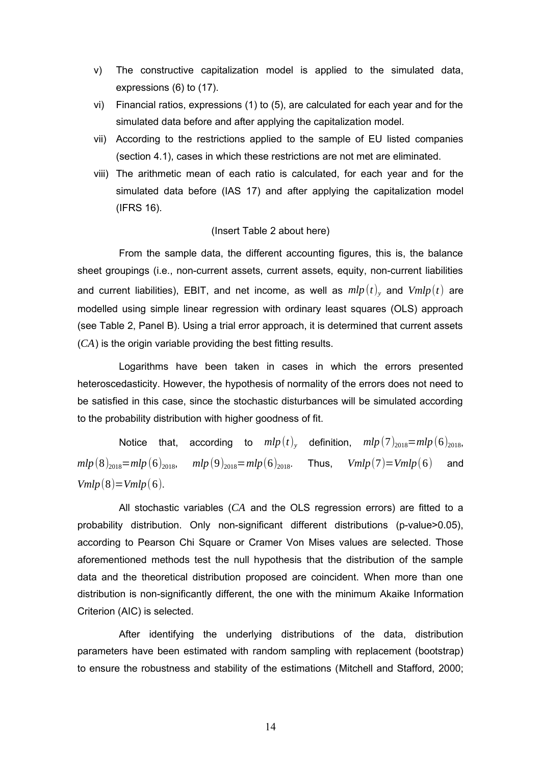- v) The constructive capitalization model is applied to the simulated data, expressions (6) to (17).
- vi) Financial ratios, expressions (1) to (5), are calculated for each year and for the simulated data before and after applying the capitalization model.
- vii) According to the restrictions applied to the sample of EU listed companies (section 4.1), cases in which these restrictions are not met are eliminated.
- viii) The arithmetic mean of each ratio is calculated, for each year and for the simulated data before (IAS 17) and after applying the capitalization model (IFRS 16).

#### (Insert Table 2 about here)

From the sample data, the different accounting figures, this is, the balance sheet groupings (i.e., non-current assets, current assets, equity, non-current liabilities and current liabilities), EBIT, and net income, as well as  $mlp(t)_{y}$  and  $Vmlp(t)$  are modelled using simple linear regression with ordinary least squares (OLS) approach (see Table 2, Panel B). Using a trial error approach, it is determined that current assets (*CA*) is the origin variable providing the best fitting results.

Logarithms have been taken in cases in which the errors presented heteroscedasticity. However, the hypothesis of normality of the errors does not need to be satisfied in this case, since the stochastic disturbances will be simulated according to the probability distribution with higher goodness of fit.

Notice that, according to  $mlp\left(t\right)_{y}$  definition,  $mlp\left(7\right)_{2018}=mlp\left(6\right)_{2018},$  $mlp(8)_{2018}=mlp(6)_{2018}$ ,  $mlp(9)_{2018}=mlp(6)_{2018}$ . Thus,  $Vmlp(7)=Vmlp(6)$  and *Vmlp* $(8)$ =*Vmlp* $(6)$ .

All stochastic variables (*CA* and the OLS regression errors) are fitted to a probability distribution. Only non-significant different distributions (p-value>0.05), according to Pearson Chi Square or Cramer Von Mises values are selected. Those aforementioned methods test the null hypothesis that the distribution of the sample data and the theoretical distribution proposed are coincident. When more than one distribution is non-significantly different, the one with the minimum Akaike Information Criterion (AIC) is selected.

After identifying the underlying distributions of the data, distribution parameters have been estimated with random sampling with replacement (bootstrap) to ensure the robustness and stability of the estimations (Mitchell and Stafford, 2000;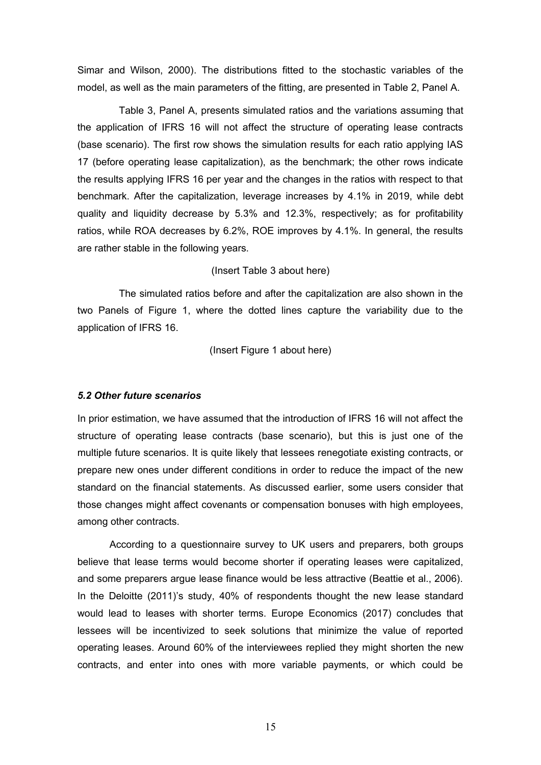Simar and Wilson, 2000). The distributions fitted to the stochastic variables of the model, as well as the main parameters of the fitting, are presented in Table 2, Panel A.

Table 3, Panel A, presents simulated ratios and the variations assuming that the application of IFRS 16 will not affect the structure of operating lease contracts (base scenario). The first row shows the simulation results for each ratio applying IAS 17 (before operating lease capitalization), as the benchmark; the other rows indicate the results applying IFRS 16 per year and the changes in the ratios with respect to that benchmark. After the capitalization, leverage increases by 4.1% in 2019, while debt quality and liquidity decrease by 5.3% and 12.3%, respectively; as for profitability ratios, while ROA decreases by 6.2%, ROE improves by 4.1%. In general, the results are rather stable in the following years.

#### (Insert Table 3 about here)

The simulated ratios before and after the capitalization are also shown in the two Panels of Figure 1, where the dotted lines capture the variability due to the application of IFRS 16.

(Insert Figure 1 about here)

#### *5.2 Other future scenarios*

In prior estimation, we have assumed that the introduction of IFRS 16 will not affect the structure of operating lease contracts (base scenario), but this is just one of the multiple future scenarios. It is quite likely that lessees renegotiate existing contracts, or prepare new ones under different conditions in order to reduce the impact of the new standard on the financial statements. As discussed earlier, some users consider that those changes might affect covenants or compensation bonuses with high employees, among other contracts.

According to a questionnaire survey to UK users and preparers, both groups believe that lease terms would become shorter if operating leases were capitalized, and some preparers argue lease finance would be less attractive (Beattie et al., 2006). In the Deloitte (2011)'s study, 40% of respondents thought the new lease standard would lead to leases with shorter terms. Europe Economics (2017) concludes that lessees will be incentivized to seek solutions that minimize the value of reported operating leases. Around 60% of the interviewees replied they might shorten the new contracts, and enter into ones with more variable payments, or which could be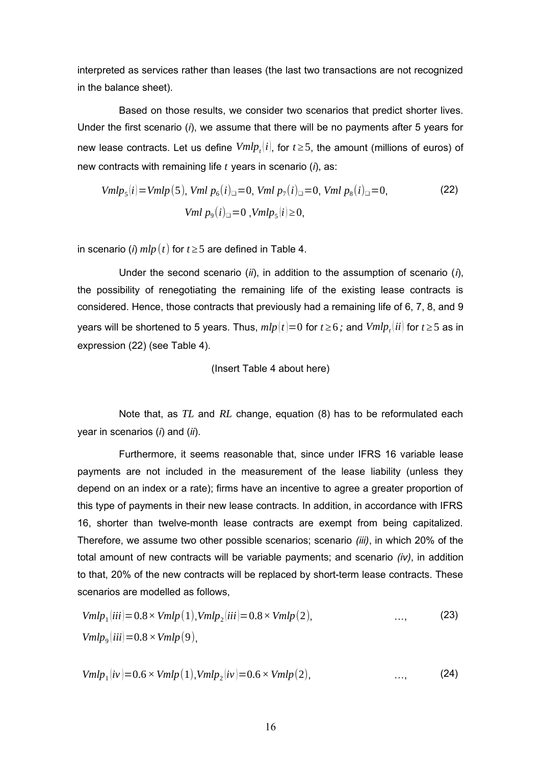interpreted as services rather than leases (the last two transactions are not recognized in the balance sheet).

Based on those results, we consider two scenarios that predict shorter lives. Under the first scenario (*i*), we assume that there will be no payments after 5 years for new lease contracts. Let us define  $Vmlp_t[i]$ , for  $t\geq 5$ , the amount (millions of euros) of new contracts with remaining life *t* years in scenario (*i*), as:

$$
Vmlp5(i) = Vmlp(5), Vmlp6(i)l = 0, Vmlp7(i)l = 0, Vmlp8(i)l = 0,
$$
\n
$$
Vmlp9(i)l = 0, Vmlp5(i) \ge 0,
$$
\n(22)

in scenario (*i*)  $mlp(t)$  for  $t \geq 5$  are defined in Table 4.

Under the second scenario (*ii*), in addition to the assumption of scenario (*i*), the possibility of renegotiating the remaining life of the existing lease contracts is considered. Hence, those contracts that previously had a remaining life of 6, 7, 8, and 9 years will be shortened to 5 years. Thus,  $mlp(t){=}0$  for  $t{\ge}6$  ; and  $Vmlp_t^{\phantom{\dag}}(ii)$  for  $t{\ge}5$  as in expression (22) (see Table 4).

(Insert Table 4 about here)

Note that, as *TL* and *RL* change, equation (8) has to be reformulated each year in scenarios (*i*) and (*ii*).

Furthermore, it seems reasonable that, since under IFRS 16 variable lease payments are not included in the measurement of the lease liability (unless they depend on an index or a rate); firms have an incentive to agree a greater proportion of this type of payments in their new lease contracts. In addition, in accordance with IFRS 16, shorter than twelve-month lease contracts are exempt from being capitalized. Therefore, we assume two other possible scenarios; scenario *(iii)*, in which 20% of the total amount of new contracts will be variable payments; and scenario *(iv)*, in addition to that, 20% of the new contracts will be replaced by short-term lease contracts. These scenarios are modelled as follows,

$$
Vmlp1(iii) = 0.8 \times Vmlp(1), Vmlp2(iii) = 0.8 \times Vmlp(2), \qquad \qquad \dots, \qquad \qquad (23)
$$
  

$$
Vmlp9(iii) = 0.8 \times Vmlp(9), \qquad \qquad \dots,
$$

$$
Vmlp_1(iv)=0.6\times Vmlp(1), Vmlp_2(iv)=0.6\times Vmlp(2), \qquad \qquad \dots, \qquad \qquad (24)
$$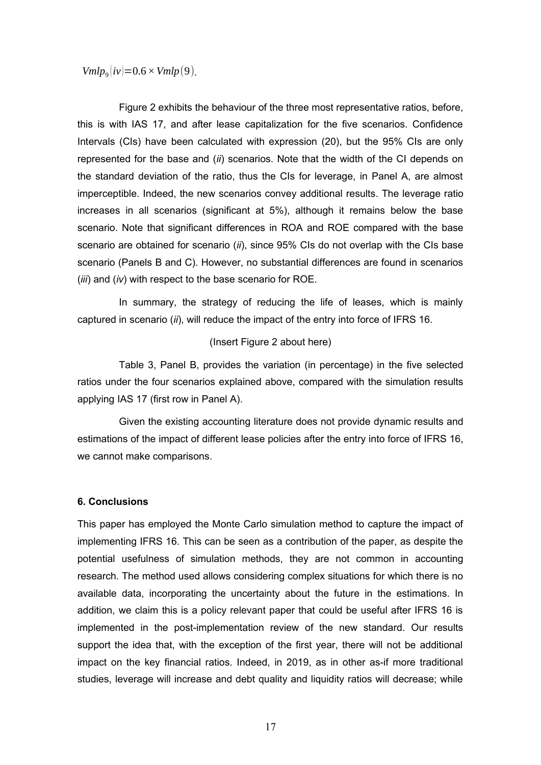$Vmlp_{9}$  $\left|iv\right>=0.6\times Vmlp(9)$ .

Figure 2 exhibits the behaviour of the three most representative ratios, before, this is with IAS 17, and after lease capitalization for the five scenarios. Confidence Intervals (CIs) have been calculated with expression (20), but the 95% CIs are only represented for the base and (*ii*) scenarios. Note that the width of the CI depends on the standard deviation of the ratio, thus the CIs for leverage, in Panel A, are almost imperceptible. Indeed, the new scenarios convey additional results. The leverage ratio increases in all scenarios (significant at 5%), although it remains below the base scenario. Note that significant differences in ROA and ROE compared with the base scenario are obtained for scenario (*ii*), since 95% CIs do not overlap with the CIs base scenario (Panels B and C). However, no substantial differences are found in scenarios (*iii*) and (*iv*) with respect to the base scenario for ROE.

In summary, the strategy of reducing the life of leases, which is mainly captured in scenario (*ii*), will reduce the impact of the entry into force of IFRS 16.

### (Insert Figure 2 about here)

Table 3, Panel B, provides the variation (in percentage) in the five selected ratios under the four scenarios explained above, compared with the simulation results applying IAS 17 (first row in Panel A).

Given the existing accounting literature does not provide dynamic results and estimations of the impact of different lease policies after the entry into force of IFRS 16, we cannot make comparisons.

#### **6. Conclusions**

This paper has employed the Monte Carlo simulation method to capture the impact of implementing IFRS 16. This can be seen as a contribution of the paper, as despite the potential usefulness of simulation methods, they are not common in accounting research. The method used allows considering complex situations for which there is no available data, incorporating the uncertainty about the future in the estimations. In addition, we claim this is a policy relevant paper that could be useful after IFRS 16 is implemented in the post-implementation review of the new standard. Our results support the idea that, with the exception of the first year, there will not be additional impact on the key financial ratios. Indeed, in 2019, as in other as-if more traditional studies, leverage will increase and debt quality and liquidity ratios will decrease; while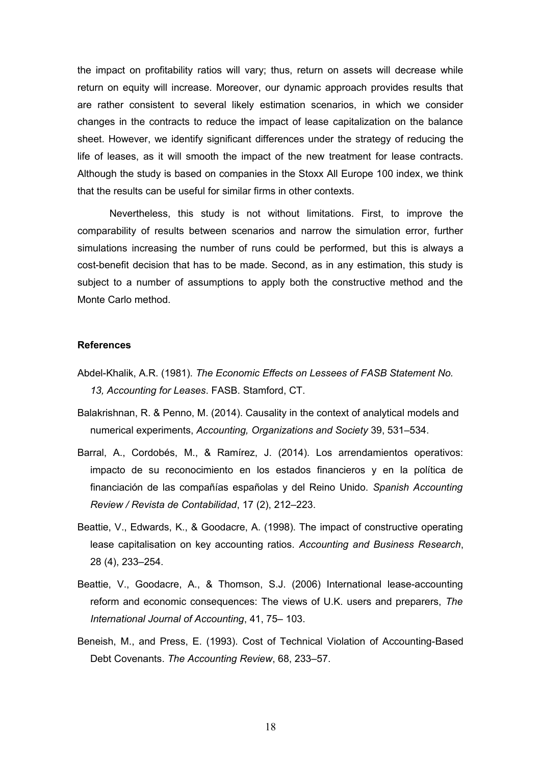the impact on profitability ratios will vary; thus, return on assets will decrease while return on equity will increase. Moreover, our dynamic approach provides results that are rather consistent to several likely estimation scenarios, in which we consider changes in the contracts to reduce the impact of lease capitalization on the balance sheet. However, we identify significant differences under the strategy of reducing the life of leases, as it will smooth the impact of the new treatment for lease contracts. Although the study is based on companies in the Stoxx All Europe 100 index, we think that the results can be useful for similar firms in other contexts.

Nevertheless, this study is not without limitations. First, to improve the comparability of results between scenarios and narrow the simulation error, further simulations increasing the number of runs could be performed, but this is always a cost-benefit decision that has to be made. Second, as in any estimation, this study is subject to a number of assumptions to apply both the constructive method and the Monte Carlo method.

#### **References**

- Abdel-Khalik, A.R. (1981). *The Economic Effects on Lessees of FASB Statement No. 13, Accounting for Leases*. FASB. Stamford, CT.
- Balakrishnan, R. & Penno, M. (2014). Causality in the context of analytical models and numerical experiments, *Accounting, Organizations and Society* 39, 531–534.
- Barral, A., Cordobés, M., & Ramírez, J. (2014). Los arrendamientos operativos: impacto de su reconocimiento en los estados financieros y en la política de financiación de las compañías españolas y del Reino Unido. *Spanish Accounting Review / Revista de Contabilidad*, 17 (2), 212–223.
- Beattie, V., Edwards, K., & Goodacre, A. (1998). The impact of constructive operating lease capitalisation on key accounting ratios. *Accounting and Business Research*, 28 (4), 233–254.
- Beattie, V., Goodacre, A., & Thomson, S.J. (2006) International lease-accounting reform and economic consequences: The views of U.K. users and preparers, *The International Journal of Accounting*, 41, 75– 103.
- Beneish, M., and Press, E. (1993). Cost of Technical Violation of Accounting-Based Debt Covenants. *The Accounting Review*, 68, 233–57.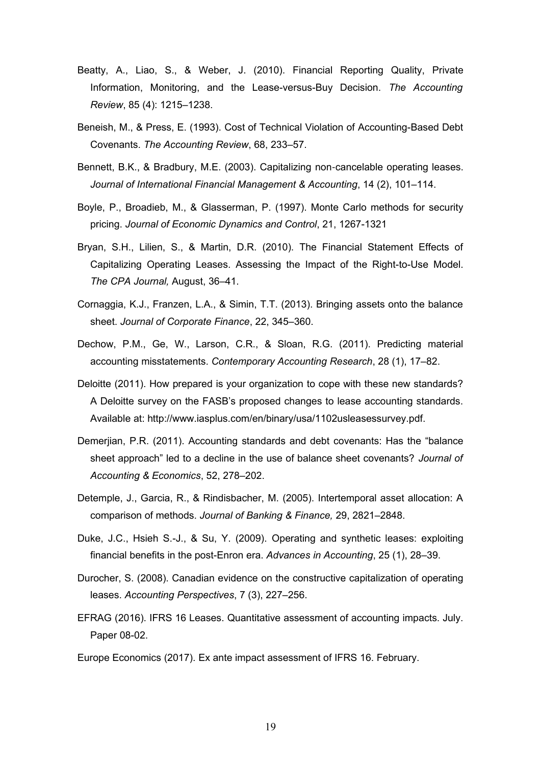- Beatty, A., Liao, S., & Weber, J. (2010). Financial Reporting Quality, Private Information, Monitoring, and the Lease-versus-Buy Decision. *The Accounting Review*, 85 (4): 1215–1238.
- Beneish, M., & Press, E. (1993). Cost of Technical Violation of Accounting-Based Debt Covenants. *The Accounting Review*, 68, 233–57.
- Bennett, B.K., & Bradbury, M.E. (2003). Capitalizing non‐cancelable operating leases. *Journal of International Financial Management & Accounting*, 14 (2), 101–114.
- Boyle, P., Broadieb, M., & Glasserman, P. (1997). Monte Carlo methods for security pricing. *Journal of Economic Dynamics and Control*, 21, 1267-1321
- Bryan, S.H., Lilien, S., & Martin, D.R. (2010). The Financial Statement Effects of Capitalizing Operating Leases. Assessing the Impact of the Right-to-Use Model. *The CPA Journal,* August, 36–41.
- Cornaggia, K.J., Franzen, L.A., & Simin, T.T. (2013). Bringing assets onto the balance sheet. *Journal of Corporate Finance*, 22, 345–360.
- Dechow, P.M., Ge, W., Larson, C.R., & Sloan, R.G. (2011). Predicting material accounting misstatements. *Contemporary Accounting Research*, 28 (1), 17–82.
- Deloitte (2011). How prepared is your organization to cope with these new standards? A Deloitte survey on the FASB's proposed changes to lease accounting standards. Available at: http://www.iasplus.com/en/binary/usa/1102usleasessurvey.pdf.
- Demerjian, P.R. (2011). Accounting standards and debt covenants: Has the "balance sheet approach" led to a decline in the use of balance sheet covenants? *Journal of Accounting & Economics*, 52, 278–202.
- Detemple, J., Garcia, R., & Rindisbacher, M. (2005). Intertemporal asset allocation: A comparison of methods. *Journal of Banking & Finance,* 29, 2821–2848.
- Duke, J.C., Hsieh S.-J., & Su, Y. (2009). Operating and synthetic leases: exploiting financial benefits in the post-Enron era. *Advances in Accounting*, 25 (1), 28–39.
- Durocher, S. (2008). Canadian evidence on the constructive capitalization of operating leases. *Accounting Perspectives*, 7 (3), 227–256.
- EFRAG (2016). IFRS 16 Leases. Quantitative assessment of accounting impacts. July. Paper 08-02.

Europe Economics (2017). Ex ante impact assessment of IFRS 16. February.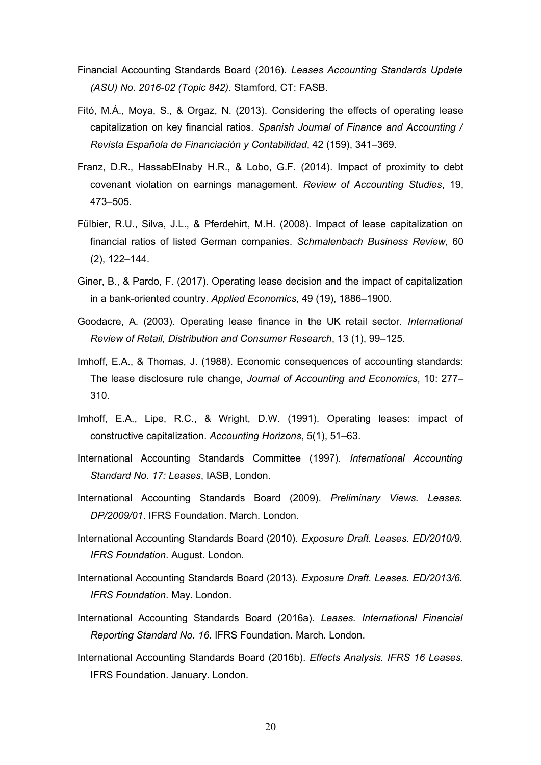- Financial Accounting Standards Board (2016). *Leases Accounting Standards Update (ASU) No. 2016-02 (Topic 842)*. Stamford, CT: FASB.
- Fitó, M.Á., Moya, S., & Orgaz, N. (2013). Considering the effects of operating lease capitalization on key financial ratios. *Spanish Journal of Finance and Accounting / Revista Española de Financiación y Contabilidad*, 42 (159), 341–369.
- Franz, D.R., HassabElnaby H.R., & Lobo, G.F. (2014). Impact of proximity to debt covenant violation on earnings management. *Review of Accounting Studies*, 19, 473–505.
- Fülbier, R.U., Silva, J.L., & Pferdehirt, M.H. (2008). Impact of lease capitalization on financial ratios of listed German companies. *Schmalenbach Business Review*, 60 (2), 122–144.
- Giner, B., & Pardo, F. (2017). Operating lease decision and the impact of capitalization in a bank-oriented country. *Applied Economics*, 49 (19), 1886–1900.
- Goodacre, A. (2003). Operating lease finance in the UK retail sector. *International Review of Retail, Distribution and Consumer Research*, 13 (1), 99–125.
- Imhoff, E.A., & Thomas, J. (1988). Economic consequences of accounting standards: The lease disclosure rule change, *Journal of Accounting and Economics*, 10: 277– 310.
- Imhoff, E.A., Lipe, R.C., & Wright, D.W. (1991). Operating leases: impact of constructive capitalization. *Accounting Horizons*, 5(1), 51–63.
- International Accounting Standards Committee (1997). *International Accounting Standard No. 17: Leases*, IASB, London.
- International Accounting Standards Board (2009). *Preliminary Views. Leases. DP/2009/01*. IFRS Foundation. March. London.
- International Accounting Standards Board (2010). *Exposure Draft. Leases. ED/2010/9. IFRS Foundation*. August. London.
- International Accounting Standards Board (2013). *Exposure Draft. Leases. ED/2013/6. IFRS Foundation*. May. London.
- International Accounting Standards Board (2016a). *Leases. International Financial Reporting Standard No. 16*. IFRS Foundation. March. London.
- International Accounting Standards Board (2016b). *Effects Analysis. IFRS 16 Leases.* IFRS Foundation. January. London.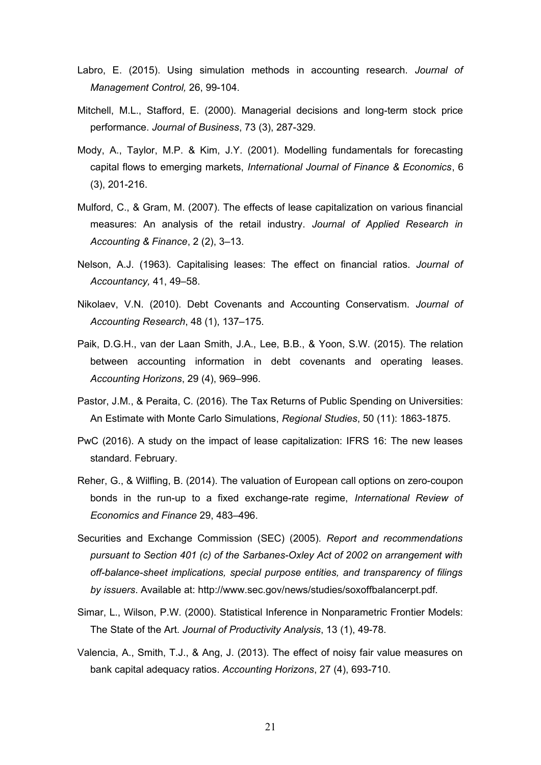- Labro, E. (2015). Using simulation methods in accounting research. *Journal of Management Control,* 26, 99-104.
- Mitchell, M.L., Stafford, E. (2000). Managerial decisions and long-term stock price performance. *Journal of Business*, 73 (3), 287-329.
- Mody, A., Taylor, M.P. & Kim, J.Y. (2001). Modelling fundamentals for forecasting capital flows to emerging markets, *International Journal of Finance & Economics*, 6 (3), 201-216.
- Mulford, C., & Gram, M. (2007). The effects of lease capitalization on various financial measures: An analysis of the retail industry. *Journal of Applied Research in Accounting & Finance*, 2 (2), 3–13.
- Nelson, A.J. (1963). Capitalising leases: The effect on financial ratios. *Journal of Accountancy,* 41, 49–58.
- Nikolaev, V.N. (2010). Debt Covenants and Accounting Conservatism. *Journal of Accounting Research*, 48 (1), 137–175.
- Paik, D.G.H., van der Laan Smith, J.A., Lee, B.B., & Yoon, S.W. (2015). The relation between accounting information in debt covenants and operating leases. *Accounting Horizons*, 29 (4), 969–996.
- Pastor, J.M., & Peraita, C. (2016). The Tax Returns of Public Spending on Universities: An Estimate with Monte Carlo Simulations, *Regional Studies*, 50 (11): 1863-1875.
- PwC (2016). A study on the impact of lease capitalization: IFRS 16: The new leases standard. February.
- Reher, G., & Wilfling, B. (2014). The valuation of European call options on zero-coupon bonds in the run-up to a fixed exchange-rate regime, *International Review of Economics and Finance* 29, 483–496.
- Securities and Exchange Commission (SEC) (2005). *Report and recommendations pursuant to Section 401 (c) of the Sarbanes-Oxley Act of 2002 on arrangement with off-balance-sheet implications, special purpose entities, and transparency of filings by issuers*. Available at: [http://www.sec.gov/n](http://www.sec.gov/)ews/studies/soxoffbalancerpt.pdf.
- Simar, L., Wilson, P.W. (2000). Statistical Inference in Nonparametric Frontier Models: The State of the Art. *Journal of Productivity Analysis*, 13 (1), 49-78.
- Valencia, A., Smith, T.J., & Ang, J. (2013). The effect of noisy fair value measures on bank capital adequacy ratios. *Accounting Horizons*, 27 (4), 693-710.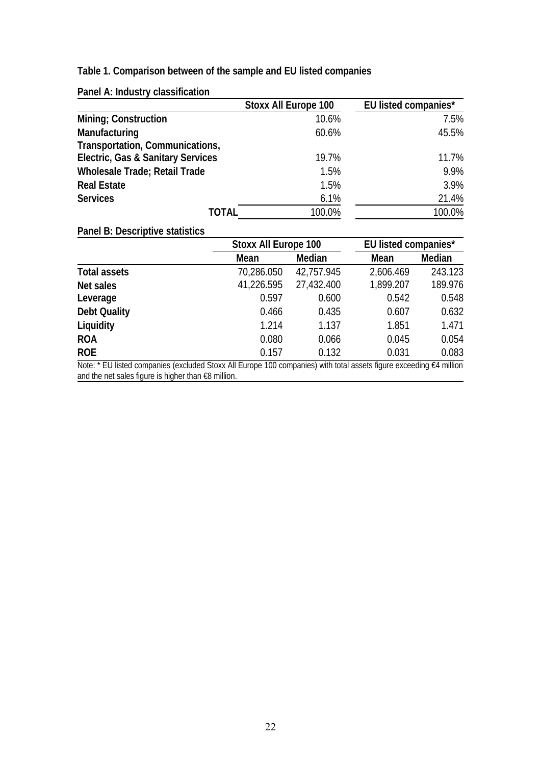# **Table 1. Comparison between of the sample and EU listed companies**

**Panel A: Industry classification**

|                                              | <b>Stoxx All Europe 100</b> | <b>EU listed companies*</b> |
|----------------------------------------------|-----------------------------|-----------------------------|
| <b>Mining; Construction</b>                  | 10.6%                       | 7.5%                        |
| Manufacturing                                | 60.6%                       | 45.5%                       |
| <b>Transportation, Communications,</b>       |                             |                             |
| <b>Electric, Gas &amp; Sanitary Services</b> | 19.7%                       | 11.7%                       |
| <b>Wholesale Trade; Retail Trade</b>         | 1.5%                        | 9.9%                        |
| <b>Real Estate</b>                           | 1.5%                        | 3.9%                        |
| <b>Services</b>                              | 6.1%                        | 21.4%                       |
| <b>TOTAL</b>                                 | 100.0%                      | 100.0%                      |

# **Panel B: Descriptive statistics**

|                                                                                                                     | <b>Stoxx All Europe 100</b> |               |             | <b>EU listed companies*</b> |  |  |
|---------------------------------------------------------------------------------------------------------------------|-----------------------------|---------------|-------------|-----------------------------|--|--|
|                                                                                                                     | Mean                        | <b>Median</b> | <b>Mean</b> | <b>Median</b>               |  |  |
| <b>Total assets</b>                                                                                                 | 70,286.050                  | 42,757.945    | 2,606.469   | 243.123                     |  |  |
| <b>Net sales</b>                                                                                                    | 41,226.595                  | 27,432.400    | 1,899.207   | 189.976                     |  |  |
| Leverage                                                                                                            | 0.597                       | 0.600         | 0.542       | 0.548                       |  |  |
| <b>Debt Quality</b>                                                                                                 | 0.466                       | 0.435         | 0.607       | 0.632                       |  |  |
| Liquidity                                                                                                           | 1.214                       | 1.137         | 1.851       | 1.471                       |  |  |
| <b>ROA</b>                                                                                                          | 0.080                       | 0.066         | 0.045       | 0.054                       |  |  |
| <b>ROE</b>                                                                                                          | 0.157                       | 0.132         | 0.031       | 0.083                       |  |  |
| Note: * EU listed companies (excluded Stoxx All Europe 100 companies) with total assets figure exceeding €4 million |                             |               |             |                             |  |  |

ope 100 companies) with total assets figure exceeding<br> and the net sales figure is higher than €8 million.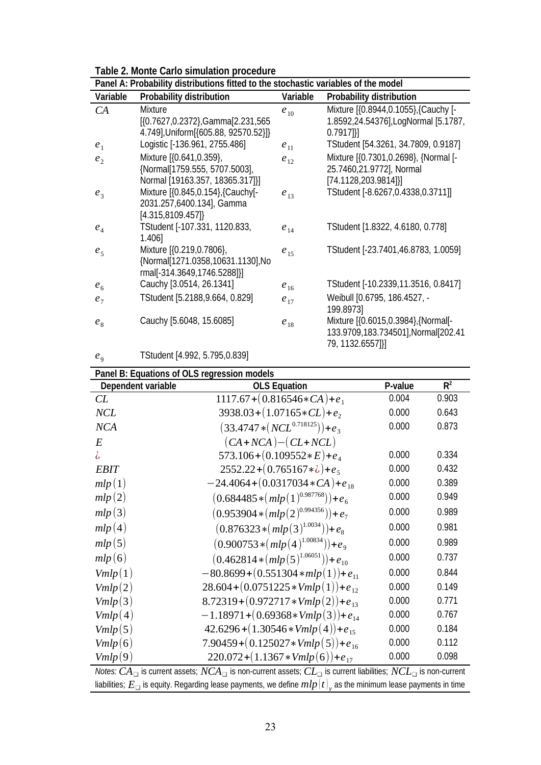| Table 2. Monte Carlo simulation procedure |  |  |  |
|-------------------------------------------|--|--|--|
|-------------------------------------------|--|--|--|

| Panel A: Probability distributions fitted to the stochastic variables of the model |                                       |          |                                      |  |  |  |  |  |
|------------------------------------------------------------------------------------|---------------------------------------|----------|--------------------------------------|--|--|--|--|--|
| Variable                                                                           | <b>Probability distribution</b>       | Variable | <b>Probability distribution</b>      |  |  |  |  |  |
| CA                                                                                 | Mixture                               | $e_{10}$ | Mixture [{0.8944,0.1055}, {Cauchy [- |  |  |  |  |  |
|                                                                                    | [{0.7627,0.2372}, Gamma[2.231, 565]   |          | 1.8592,24.54376], LogNormal [5.1787, |  |  |  |  |  |
|                                                                                    | 4.749], Uniform [{605.88, 92570.52}]} |          | $0.7917$ ]                           |  |  |  |  |  |
| e <sub>1</sub>                                                                     | Logistic [-136.961, 2755.486]         | $e_{11}$ | TStudent [54.3261, 34.7809, 0.9187]  |  |  |  |  |  |
| e <sub>2</sub>                                                                     | Mixture [{0.641,0.359},               | $e_{12}$ | Mixture [{0.7301,0.2698}, {Normal [- |  |  |  |  |  |
|                                                                                    | {Normal[1759.555, 5707.5003],         |          | 25.7460,21.9772], Normal             |  |  |  |  |  |
|                                                                                    | Normal [19163.357, 18365.317]}]       |          | [74.1128,203.9814]}]                 |  |  |  |  |  |
| $e_3$                                                                              | Mixture [{0.845,0.154}, {Cauchy[-     | $e_{13}$ | TStudent [-8.6267,0.4338,0.3711]]    |  |  |  |  |  |
|                                                                                    | 2031.257,6400.134], Gamma             |          |                                      |  |  |  |  |  |
|                                                                                    | [4.315, 8109.457]                     |          |                                      |  |  |  |  |  |
| e <sub>4</sub>                                                                     | TStudent [-107.331, 1120.833,         | $e_{14}$ | TStudent [1.8322, 4.6180, 0.778]     |  |  |  |  |  |
|                                                                                    | 1.406]                                |          |                                      |  |  |  |  |  |
| e <sub>5</sub>                                                                     | Mixture [{0.219,0.7806},              | $e_{15}$ | TStudent [-23.7401,46.8783, 1.0059]  |  |  |  |  |  |
|                                                                                    | {Normal[1271.0358,10631.1130], No     |          |                                      |  |  |  |  |  |
|                                                                                    | rmal[-314.3649,1746.5288]}]           |          |                                      |  |  |  |  |  |
| e <sub>6</sub>                                                                     | Cauchy [3.0514, 26.1341]              | $e_{16}$ | TStudent [-10.2339,11.3516, 0.8417]  |  |  |  |  |  |
| e <sub>7</sub>                                                                     | TStudent [5.2188,9.664, 0.829]        | $e_{17}$ | Weibull [0.6795, 186.4527, -         |  |  |  |  |  |
|                                                                                    |                                       |          | 199.89731                            |  |  |  |  |  |
| $e_{8}$                                                                            | Cauchy [5.6048, 15.6085]              | $e_{18}$ | Mixture [{0.6015,0.3984}, {Normal[-  |  |  |  |  |  |
|                                                                                    |                                       |          | 133.9709,183.734501], Normal[202.41  |  |  |  |  |  |
|                                                                                    |                                       |          | 79, 1132.6557]}]                     |  |  |  |  |  |

#### $e<sub>9</sub>$ TStudent [4.992, 5.795,0.839]

#### **Panel B: Equations of OLS regression models Dependent variable CLS Equation P-value**  $R^2$ *CL* 1117.67+(0.816546∗*CA*)+*e*<sub>1</sub> 0.004 0.903 *NCL*  $3938.03 + (1.07165 \cdot CL) + e_2$ 0.000 0.643  $NCA$  (33.4747  $*(NCL^{0.718125}))+e_3$ 0.000 0.873 *E* (*CA*+*NCA*)−(*CL*+*NCL*) ¿ 573.106+(0.109552∗*E*)+*e*<sup>4</sup> 0.000 0.334 *EBIT* 2552.22+(0.765167∗¿)+*e*<sup>5</sup> 0.000 0.432 *mlp* (1)  $-24.4064+(0.0317034*CA)+e_{18}$  0.000 0.389  $mlp(2)$  (0.684485 \* ( $mlp(1)^{0.987768})$ )+ $e_6$ 0.000 0.949  $mlp(3)$  (0.953904 \*  $(mlp(2)^{0.994356})$ )+  $e_7$ 0.000 0.989  $mlp(4)$  (0.876323 \*  $(mlp(3)^{1.0034})$ )+  $e_8$ 0.000 0.981 *mlp* (5) (0.900753 \* (*mlp* (4)<sup>1.00834</sup>))+*e*<sub>9</sub> 0.000 0.989  $mlp(6)$  (0.462814 \*  $(mlp(5)^{1.06051})$ ) +  $e_{10}$ 0.000 0.737  $Vmlp(1)$  −80.8699+(0.551304\**mlp*(1))+ $e_{11}$  0.000 0.844 *Vmlp*(2) 28.604+(0.0751225\**Vmlp*(1))+ $e_{12}$  0.000 0.149 *Vmlp*(3) 8.72319+(0.972717∗*Vmlp*(2))+ $e_{13}$  0.000 0.771 *Vmlp*(4)  $-1.18971+(0.69368*Vmlp(3))+e_{14}$  0.000 0.767 *Vmlp*(5) 42.6296+(1.30546\**Vmlp*(4))+ $e_{15}$  0.000 0.184 *Vmlp*(6) 7.90459+(0.125027 $*$ *Vmlp*(5))+ $e_{16}$  0.000 0.112 *Vmlp*(9) 220.072+(1.1367\**Vmlp*(6))+ $e_{17}$  0.000 0.098

*Notes: CA*❑ is current assets; *NCA*❑ is non-current assets; *CL*❑ is current liabilities; *NCL*❑ is non-current liabilities;  $E_{\Box}$  is equity. Regarding lease payments, we define  $mlp(t)_{_Y}$  as the minimum lease payments in time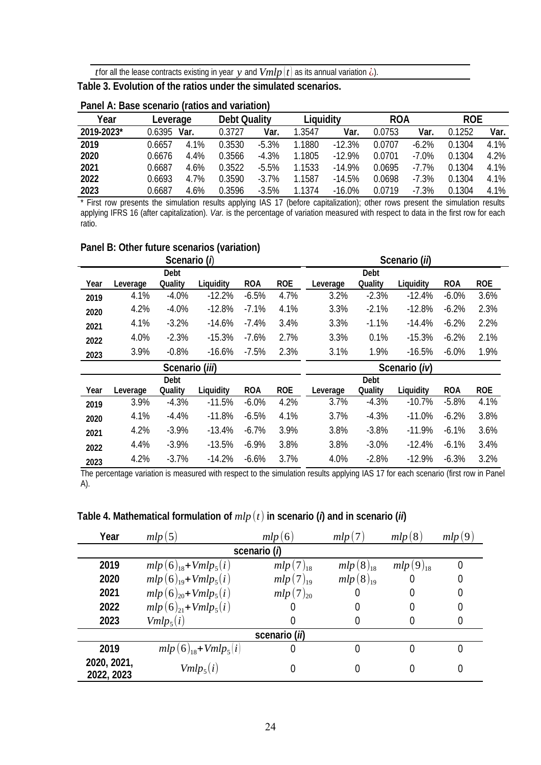*t* for all the lease contracts existing in year *y* and  $Vmlp(t)$  as its annual variation  $\zeta$ ).

**Table 3. Evolution of the ratios under the simulated scenarios.** 

| Year       | Leverage |      | <b>Debt Quality</b> |          | Liquidity |          | <b>ROA</b> |         | <b>ROE</b> |      |
|------------|----------|------|---------------------|----------|-----------|----------|------------|---------|------------|------|
| 2019-2023* | 0.6395   | Var. | 0.3727              | Var.     | 1.3547    | Var.     | 0.0753     | Var.    | 0.1252     | Var. |
| 2019       | 0.6657   | 4.1% | 0.3530              | $-5.3%$  | 1.1880    | $-12.3%$ | 0.0707     | $-6.2%$ | 0.1304     | 4.1% |
| 2020       | 0.6676   | 4.4% | 0.3566              | $-4.3%$  | 1.1805    | $-12.9%$ | 0.0701     | $-7.0%$ | 0.1304     | 4.2% |
| 2021       | 0.6687   | 4.6% | 0.3522              | $-5.5\%$ | 1.1533    | $-14.9%$ | 0.0695     | $-7.7%$ | 0.1304     | 4.1% |
| 2022       | 0.6693   | 4.7% | 0.3590              | $-3.7\%$ | 1.1587    | $-14.5%$ | 0.0698     | $-7.3%$ | 0.1304     | 4.1% |
| 2023       | 0.6687   | 4.6% | 0.3596              | $-3.5%$  | 1.1374    | $-16.0%$ | 0.0719     | $-7.3%$ | 0.1304     | 4.1% |

### **Panel A: Base scenario (ratios and variation)**

\* First row presents the simulation results applying IAS 17 (before capitalization); other rows present the simulation results applying IFRS 16 (after capitalization). *Var.* is the percentage of variation measured with respect to data in the first row for each ratio.

## **Panel B: Other future scenarios (variation)**

|      |          | Scenario (i)   |           |            |            |          |             | Scenario (ii) |            |            |
|------|----------|----------------|-----------|------------|------------|----------|-------------|---------------|------------|------------|
|      |          | <b>Debt</b>    |           |            |            |          | <b>Debt</b> |               |            |            |
| Year | Leverage | Ouality        | Liquidity | <b>ROA</b> | <b>ROE</b> | Leverage | Quality     | Liquidity     | <b>ROA</b> | <b>ROE</b> |
| 2019 | 4.1%     | $-4.0%$        | $-12.2%$  | $-6.5%$    | 4.7%       | 3.2%     | $-2.3%$     | $-12.4%$      | $-6.0%$    | 3.6%       |
| 2020 | 4.2%     | $-4.0%$        | $-12.8%$  | $-7.1\%$   | 4.1%       | 3.3%     | $-2.1%$     | $-12.8%$      | $-6.2%$    | 2.3%       |
| 2021 | 4.1%     | $-3.2\%$       | $-14.6%$  | $-7.4%$    | 3.4%       | 3.3%     | $-1.1\%$    | $-14.4%$      | $-6.2%$    | 2.2%       |
| 2022 | 4.0%     | $-2.3%$        | $-15.3%$  | $-7.6%$    | 2.7%       | 3.3%     | $0.1\%$     | $-15.3%$      | $-6.2%$    | 2.1%       |
| 2023 | 3.9%     | $-0.8%$        | $-16.6\%$ | $-7.5\%$   | 2.3%       | 3.1%     | 1.9%        | $-16.5%$      | $-6.0%$    | 1.9%       |
|      |          |                |           |            |            |          |             |               |            |            |
|      |          | Scenario (iii) |           |            |            |          |             | Scenario (iv) |            |            |
|      |          | <b>Debt</b>    |           |            |            |          | <b>Debt</b> |               |            |            |
| Year | Leverage | Quality        | Liquidity | <b>ROA</b> | <b>ROE</b> | Leverage | Quality     | Liquidity     | <b>ROA</b> | <b>ROE</b> |
| 2019 | 3.9%     | $-4.3%$        | $-11.5%$  | $-6.0%$    | 4.2%       | 3.7%     | $-4.3%$     | $-10.7%$      | $-5.8%$    | 4.1%       |
| 2020 | 4.1%     | $-4.4%$        | $-11.8%$  | $-6.5%$    | 4.1%       | 3.7%     | $-4.3%$     | $-11.0%$      | $-6.2%$    | 3.8%       |
| 2021 | 4.2%     | $-3.9%$        | $-13.4%$  | $-6.7%$    | 3.9%       | 3.8%     | $-3.8%$     | $-11.9%$      | $-6.1\%$   | 3.6%       |
| 2022 | 4.4%     | $-3.9%$        | $-13.5%$  | $-6.9%$    | 3.8%       | 3.8%     | $-3.0%$     | $-12.4%$      | $-6.1\%$   | 3.4%       |

The percentage variation is measured with respect to the simulation results applying IAS 17 for each scenario (first row in Panel A).

| Year                      | mlp(5)                  | mlp(6)        | mlp(7)        | mlp(8)        | mlp(9) |  |  |  |  |  |
|---------------------------|-------------------------|---------------|---------------|---------------|--------|--|--|--|--|--|
| scenario (i)              |                         |               |               |               |        |  |  |  |  |  |
| 2019                      | $mlp(6)_{18}+Vmlp_5(i)$ | $mlp(7)_{18}$ | $mlp(8)_{18}$ | $mlp(9)_{18}$ |        |  |  |  |  |  |
| 2020                      | $mlp(6)_{19}+Vmlp_5(i)$ | $mlp(7)_{19}$ | $mlp(8)_{19}$ |               |        |  |  |  |  |  |
| 2021                      | $mlp(6)_{20}+Vmlp_5(i)$ | $mlp(7)_{20}$ | 0             |               | 0      |  |  |  |  |  |
| 2022                      | $mlp(6)_{21}+Vmlp_5(i)$ |               | 0             |               |        |  |  |  |  |  |
| 2023                      | $Vmlp_5(i)$             |               | 0             |               |        |  |  |  |  |  |
|                           | scenario (ii)           |               |               |               |        |  |  |  |  |  |
| 2019                      | $mlp(6)_{18}+Vmlp_5 i)$ |               | 0             |               |        |  |  |  |  |  |
| 2020, 2021,<br>2022, 2023 | $Vmlp_5(i)$             |               |               |               |        |  |  |  |  |  |

# **Table 4. Mathematical formulation of** *mlp* (*t*) **in scenario (***i***) and in scenario (***ii***)**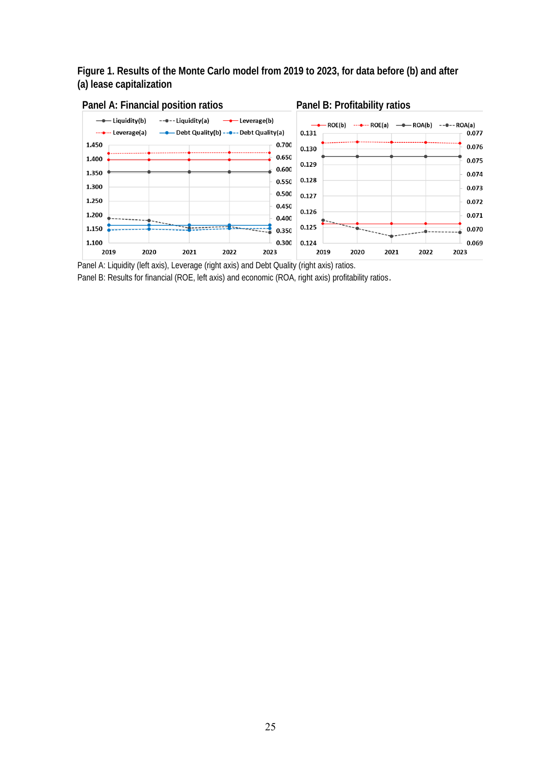# **Figure 1. Results of the Monte Carlo model from 2019 to 2023, for data before (b) and after (a) lease capitalization**



Panel A: Liquidity (left axis), Leverage (right axis) and Debt Quality (right axis) ratios.

Panel B: Results for financial (ROE, left axis) and economic (ROA, right axis) profitability ratios.